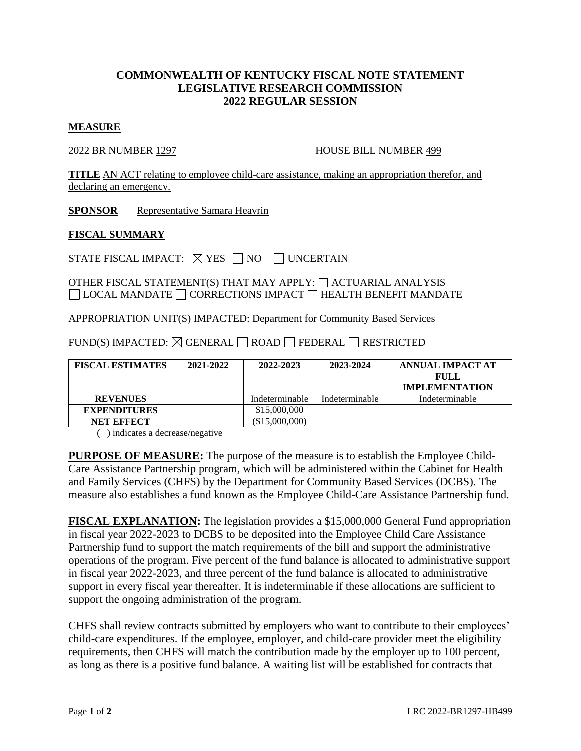## **COMMONWEALTH OF KENTUCKY FISCAL NOTE STATEMENT LEGISLATIVE RESEARCH COMMISSION 2022 REGULAR SESSION**

## **MEASURE**

2022 BR NUMBER 1297 HOUSE BILL NUMBER 499

**TITLE** AN ACT relating to employee child-care assistance, making an appropriation therefor, and declaring an emergency.

**SPONSOR** Representative Samara Heavrin

## **FISCAL SUMMARY**

STATE FISCAL IMPACT:  $\boxtimes$  YES  $\Box$  NO  $\Box$  UNCERTAIN

OTHER FISCAL STATEMENT(S) THAT MAY APPLY:  $\Box$  ACTUARIAL ANALYSIS  $\Box$  LOCAL MANDATE  $\Box$  CORRECTIONS IMPACT  $\Box$  HEALTH BENEFIT MANDATE

APPROPRIATION UNIT(S) IMPACTED: Department for Community Based Services

FUND(S) IMPACTED:  $\boxtimes$  GENERAL  $\Box$  ROAD  $\Box$  FEDERAL  $\Box$  RESTRICTED

| <b>FISCAL ESTIMATES</b> | 2021-2022 | 2022-2023        | 2023-2024      | ANNUAL IMPACT AT<br>FULL<br><b>IMPLEMENTATION</b> |
|-------------------------|-----------|------------------|----------------|---------------------------------------------------|
| <b>REVENUES</b>         |           | Indeterminable   | Indeterminable | Indeterminable                                    |
| <b>EXPENDITURES</b>     |           | \$15,000,000     |                |                                                   |
| NET EFFECT              |           | $(\$15,000,000)$ |                |                                                   |

( ) indicates a decrease/negative

**PURPOSE OF MEASURE:** The purpose of the measure is to establish the Employee Child-Care Assistance Partnership program, which will be administered within the Cabinet for Health and Family Services (CHFS) by the Department for Community Based Services (DCBS). The measure also establishes a fund known as the Employee Child-Care Assistance Partnership fund.

**FISCAL EXPLANATION:** The legislation provides a \$15,000,000 General Fund appropriation in fiscal year 2022-2023 to DCBS to be deposited into the Employee Child Care Assistance Partnership fund to support the match requirements of the bill and support the administrative operations of the program. Five percent of the fund balance is allocated to administrative support in fiscal year 2022-2023, and three percent of the fund balance is allocated to administrative support in every fiscal year thereafter. It is indeterminable if these allocations are sufficient to support the ongoing administration of the program.

CHFS shall review contracts submitted by employers who want to contribute to their employees' child-care expenditures. If the employee, employer, and child-care provider meet the eligibility requirements, then CHFS will match the contribution made by the employer up to 100 percent, as long as there is a positive fund balance. A waiting list will be established for contracts that